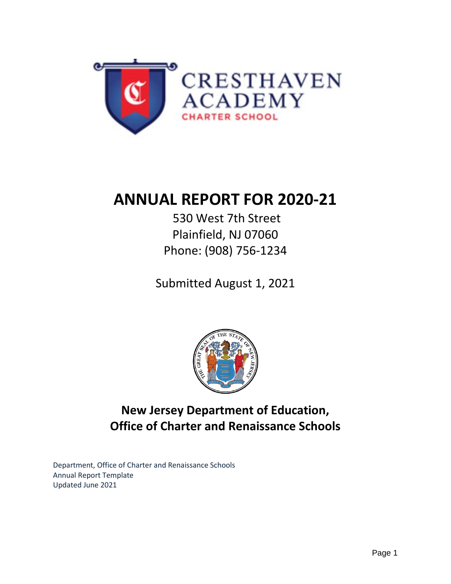

# **ANNUAL REPORT FOR 2020-21**

530 West 7th Street Plainfield, NJ 07060 Phone: (908) 756-1234

Submitted August 1, 2021



**New Jersey Department of Education, Office of Charter and Renaissance Schools**

Department, Office of Charter and Renaissance Schools Annual Report Template Updated June 2021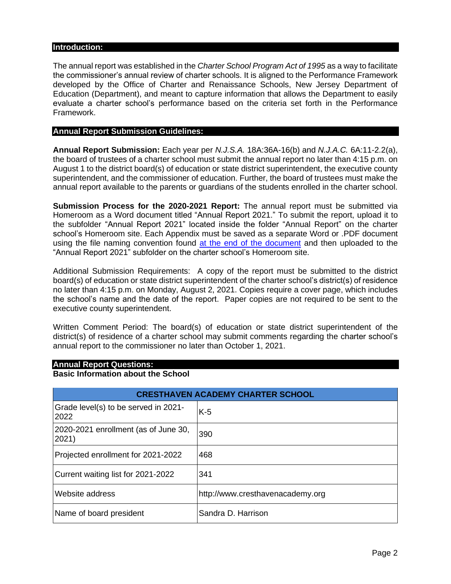#### **Introduction:**

The annual report was established in the *Charter School Program Act of 1995* as a way to facilitate the commissioner's annual review of charter schools. It is aligned to the Performance Framework developed by the Office of Charter and Renaissance Schools, New Jersey Department of Education (Department), and meant to capture information that allows the Department to easily evaluate a charter school's performance based on the criteria set forth in the Performance Framework.

#### **Annual Report Submission Guidelines:**

**Annual Report Submission:** Each year per *N.J.S.A.* 18A:36A-16(b) and *N.J.A.C.* 6A:11-2.2(a), the board of trustees of a charter school must submit the annual report no later than 4:15 p.m. on August 1 to the district board(s) of education or state district superintendent, the executive county superintendent, and the commissioner of education. Further, the board of trustees must make the annual report available to the parents or guardians of the students enrolled in the charter school.

**Submission Process for the 2020-2021 Report:** The annual report must be submitted via Homeroom as a Word document titled "Annual Report 2021." To submit the report, upload it to the subfolder "Annual Report 2021" located inside the folder "Annual Report" on the charter school's Homeroom site. Each Appendix must be saved as a separate Word or .PDF document using the file naming convention found [at the end of the document](#page-28-0) and then uploaded to the "Annual Report 2021" subfolder on the charter school's Homeroom site.

Additional Submission Requirements: A copy of the report must be submitted to the district board(s) of education or state district superintendent of the charter school's district(s) of residence no later than 4:15 p.m. on Monday, August 2, 2021. Copies require a cover page, which includes the school's name and the date of the report. Paper copies are not required to be sent to the executive county superintendent.

Written Comment Period: The board(s) of education or state district superintendent of the district(s) of residence of a charter school may submit comments regarding the charter school's annual report to the commissioner no later than October 1, 2021.

#### **Annual Report Questions:**

#### **Basic Information about the School**

| <b>CRESTHAVEN ACADEMY CHARTER SCHOOL</b>      |                                  |  |  |
|-----------------------------------------------|----------------------------------|--|--|
| Grade level(s) to be served in 2021-<br>2022  | $K-5$                            |  |  |
| 2020-2021 enrollment (as of June 30,<br>2021) | 390                              |  |  |
| Projected enrollment for 2021-2022            | 468                              |  |  |
| Current waiting list for 2021-2022            | 341                              |  |  |
| Website address                               | http://www.cresthavenacademy.org |  |  |
| Name of board president                       | Sandra D. Harrison               |  |  |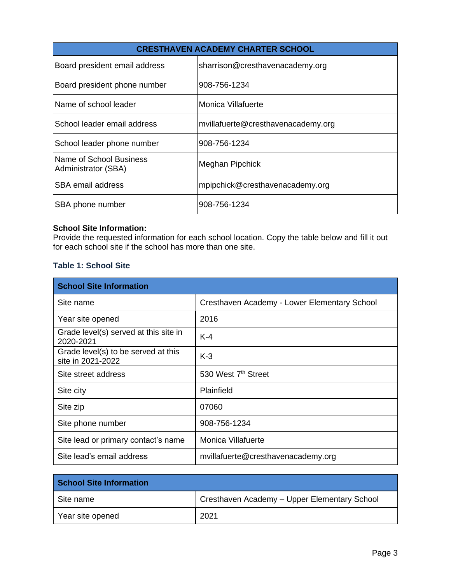| <b>CRESTHAVEN ACADEMY CHARTER SCHOOL</b>       |                                    |  |  |
|------------------------------------------------|------------------------------------|--|--|
| Board president email address                  | sharrison@cresthavenacademy.org    |  |  |
| Board president phone number                   | 908-756-1234                       |  |  |
| Name of school leader                          | Monica Villafuerte                 |  |  |
| School leader email address                    | mvillafuerte@cresthavenacademy.org |  |  |
| School leader phone number                     | 908-756-1234                       |  |  |
| Name of School Business<br>Administrator (SBA) | <b>Meghan Pipchick</b>             |  |  |
| SBA email address                              | mpipchick@cresthavenacademy.org    |  |  |
| SBA phone number                               | 908-756-1234                       |  |  |

# **School Site Information:**

Provide the requested information for each school location. Copy the table below and fill it out for each school site if the school has more than one site.

#### **Table 1: School Site**

| <b>School Site Information</b>                           |                                              |
|----------------------------------------------------------|----------------------------------------------|
| Site name                                                | Cresthaven Academy - Lower Elementary School |
| Year site opened                                         | 2016                                         |
| Grade level(s) served at this site in<br>2020-2021       | $K-4$                                        |
| Grade level(s) to be served at this<br>site in 2021-2022 | $K-3$                                        |
| Site street address                                      | 530 West 7 <sup>th</sup> Street              |
| Site city                                                | Plainfield                                   |
| Site zip                                                 | 07060                                        |
| Site phone number                                        | 908-756-1234                                 |
| Site lead or primary contact's name                      | Monica Villafuerte                           |
| Site lead's email address                                | mvillafuerte@cresthavenacademy.org           |

| <b>School Site Information</b> |                                              |
|--------------------------------|----------------------------------------------|
| Site name                      | Cresthaven Academy - Upper Elementary School |
| Year site opened               | 2021                                         |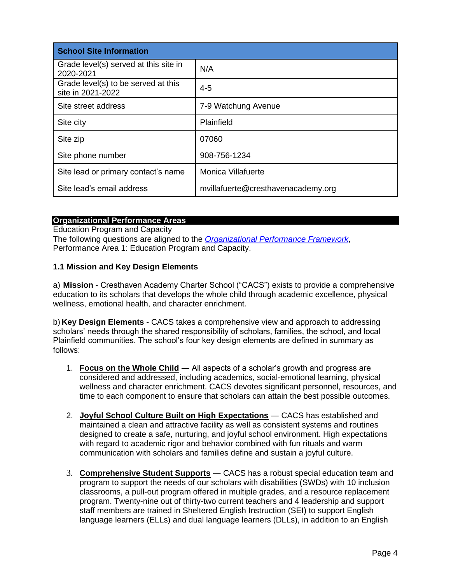| <b>School Site Information</b>                           |                                    |
|----------------------------------------------------------|------------------------------------|
| Grade level(s) served at this site in<br>2020-2021       | N/A                                |
| Grade level(s) to be served at this<br>site in 2021-2022 | $4 - 5$                            |
| Site street address                                      | 7-9 Watchung Avenue                |
| Site city                                                | Plainfield                         |
| Site zip                                                 | 07060                              |
| Site phone number                                        | 908-756-1234                       |
| Site lead or primary contact's name                      | <b>Monica Villafuerte</b>          |
| Site lead's email address                                | mvillafuerte@cresthavenacademy.org |

# **Organizational Performance Areas**

Education Program and Capacity The following questions are aligned to the *[Organizational Performance Framework](https://www.nj.gov/education/chartsch/accountability/docs/OrganizationalPerformanceFramework_NJDOE_08132015.pdf)*, Performance Area 1: Education Program and Capacity.

# **1.1 Mission and Key Design Elements**

a) **Mission** - Cresthaven Academy Charter School ("CACS") exists to provide a comprehensive education to its scholars that develops the whole child through academic excellence, physical wellness, emotional health, and character enrichment.

b) **Key Design Elements** - CACS takes a comprehensive view and approach to addressing scholars' needs through the shared responsibility of scholars, families, the school, and local Plainfield communities. The school's four key design elements are defined in summary as follows:

- 1. **Focus on the Whole Child** ― All aspects of a scholar's growth and progress are considered and addressed, including academics, social-emotional learning, physical wellness and character enrichment. CACS devotes significant personnel, resources, and time to each component to ensure that scholars can attain the best possible outcomes.
- 2. **Joyful School Culture Built on High Expectations** ― CACS has established and maintained a clean and attractive facility as well as consistent systems and routines designed to create a safe, nurturing, and joyful school environment. High expectations with regard to academic rigor and behavior combined with fun rituals and warm communication with scholars and families define and sustain a joyful culture.
- 3. **Comprehensive Student Supports** ― CACS has a robust special education team and program to support the needs of our scholars with disabilities (SWDs) with 10 inclusion classrooms, a pull-out program offered in multiple grades, and a resource replacement program. Twenty-nine out of thirty-two current teachers and 4 leadership and support staff members are trained in Sheltered English Instruction (SEI) to support English language learners (ELLs) and dual language learners (DLLs), in addition to an English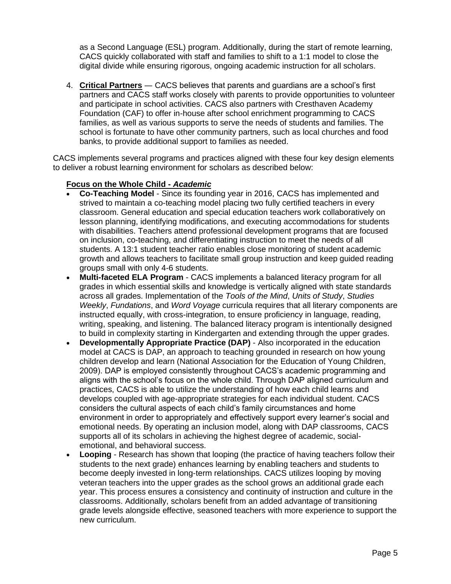as a Second Language (ESL) program. Additionally, during the start of remote learning, CACS quickly collaborated with staff and families to shift to a 1:1 model to close the digital divide while ensuring rigorous, ongoing academic instruction for all scholars.

4. **Critical Partners** ― CACS believes that parents and guardians are a school's first partners and CACS staff works closely with parents to provide opportunities to volunteer and participate in school activities. CACS also partners with Cresthaven Academy Foundation (CAF) to offer in-house after school enrichment programming to CACS families, as well as various supports to serve the needs of students and families. The school is fortunate to have other community partners, such as local churches and food banks, to provide additional support to families as needed.

CACS implements several programs and practices aligned with these four key design elements to deliver a robust learning environment for scholars as described below:

# **Focus on the Whole Child -** *Academic*

- **Co-Teaching Model** Since its founding year in 2016, CACS has implemented and strived to maintain a co-teaching model placing two fully certified teachers in every classroom. General education and special education teachers work collaboratively on lesson planning, identifying modifications, and executing accommodations for students with disabilities. Teachers attend professional development programs that are focused on inclusion, co-teaching, and differentiating instruction to meet the needs of all students. A 13:1 student teacher ratio enables close monitoring of student academic growth and allows teachers to facilitate small group instruction and keep guided reading groups small with only 4-6 students.
- **Multi-faceted ELA Program**  CACS implements a balanced literacy program for all grades in which essential skills and knowledge is vertically aligned with state standards across all grades. Implementation of the *Tools of the Mind*, *Units of Study*, *Studies Weekly*, *Fundations*, and *Word Voyage* curricula requires that all literary components are instructed equally, with cross-integration, to ensure proficiency in language, reading, writing, speaking, and listening. The balanced literacy program is intentionally designed to build in complexity starting in Kindergarten and extending through the upper grades.
- **Developmentally Appropriate Practice (DAP)** Also incorporated in the education model at CACS is DAP, an approach to teaching grounded in research on how young children develop and learn (National Association for the Education of Young Children, 2009). DAP is employed consistently throughout CACS's academic programming and aligns with the school's focus on the whole child. Through DAP aligned curriculum and practices, CACS is able to utilize the understanding of how each child learns and develops coupled with age-appropriate strategies for each individual student. CACS considers the cultural aspects of each child's family circumstances and home environment in order to appropriately and effectively support every learner's social and emotional needs. By operating an inclusion model, along with DAP classrooms, CACS supports all of its scholars in achieving the highest degree of academic, socialemotional, and behavioral success.
- **Looping** Research has shown that looping (the practice of having teachers follow their students to the next grade) enhances learning by enabling teachers and students to become deeply invested in long-term relationships. CACS utilizes looping by moving veteran teachers into the upper grades as the school grows an additional grade each year. This process ensures a consistency and continuity of instruction and culture in the classrooms. Additionally, scholars benefit from an added advantage of transitioning grade levels alongside effective, seasoned teachers with more experience to support the new curriculum.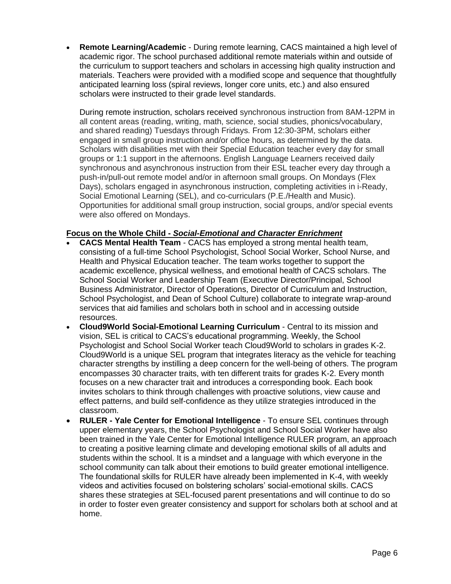• **Remote Learning/Academic** - During remote learning, CACS maintained a high level of academic rigor. The school purchased additional remote materials within and outside of the curriculum to support teachers and scholars in accessing high quality instruction and materials. Teachers were provided with a modified scope and sequence that thoughtfully anticipated learning loss (spiral reviews, longer core units, etc.) and also ensured scholars were instructed to their grade level standards.

During remote instruction, scholars received synchronous instruction from 8AM-12PM in all content areas (reading, writing, math, science, social studies, phonics/vocabulary, and shared reading) Tuesdays through Fridays. From 12:30-3PM, scholars either engaged in small group instruction and/or office hours, as determined by the data. Scholars with disabilities met with their Special Education teacher every day for small groups or 1:1 support in the afternoons. English Language Learners received daily synchronous and asynchronous instruction from their ESL teacher every day through a push-in/pull-out remote model and/or in afternoon small groups. On Mondays (Flex Days), scholars engaged in asynchronous instruction, completing activities in i-Ready, Social Emotional Learning (SEL), and co-curriculars (P.E./Health and Music). Opportunities for additional small group instruction, social groups, and/or special events were also offered on Mondays.

# **Focus on the Whole Child -** *Social-Emotional and Character Enrichment*

- **CACS Mental Health Team**  CACS has employed a strong mental health team, consisting of a full-time School Psychologist, School Social Worker, School Nurse, and Health and Physical Education teacher. The team works together to support the academic excellence, physical wellness, and emotional health of CACS scholars. The School Social Worker and Leadership Team (Executive Director/Principal, School Business Administrator, Director of Operations, Director of Curriculum and Instruction, School Psychologist, and Dean of School Culture) collaborate to integrate wrap-around services that aid families and scholars both in school and in accessing outside resources.
- **Cloud9World Social-Emotional Learning Curriculum** Central to its mission and vision, SEL is critical to CACS's educational programming. Weekly, the School Psychologist and School Social Worker teach Cloud9World to scholars in grades K-2. Cloud9World is a unique SEL program that integrates literacy as the vehicle for teaching character strengths by instilling a deep concern for the well-being of others. The program encompasses 30 character traits, with ten different traits for grades K-2. Every month focuses on a new character trait and introduces a corresponding book. Each book invites scholars to think through challenges with proactive solutions, view cause and effect patterns, and build self-confidence as they utilize strategies introduced in the classroom.
- **RULER - Yale Center for Emotional Intelligence** To ensure SEL continues through upper elementary years, the School Psychologist and School Social Worker have also been trained in the Yale Center for Emotional Intelligence RULER program, an approach to creating a positive learning climate and developing emotional skills of all adults and students within the school. It is a mindset and a language with which everyone in the school community can talk about their emotions to build greater emotional intelligence. The foundational skills for RULER have already been implemented in K-4, with weekly videos and activities focused on bolstering scholars' social-emotional skills. CACS shares these strategies at SEL-focused parent presentations and will continue to do so in order to foster even greater consistency and support for scholars both at school and at home.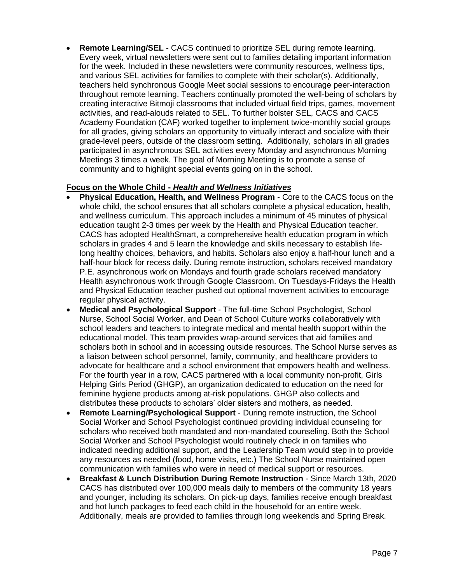• **Remote Learning/SEL** - CACS continued to prioritize SEL during remote learning. Every week, virtual newsletters were sent out to families detailing important information for the week. Included in these newsletters were community resources, wellness tips, and various SEL activities for families to complete with their scholar(s). Additionally, teachers held synchronous Google Meet social sessions to encourage peer-interaction throughout remote learning. Teachers continually promoted the well-being of scholars by creating interactive Bitmoji classrooms that included virtual field trips, games, movement activities, and read-alouds related to SEL. To further bolster SEL, CACS and CACS Academy Foundation (CAF) worked together to implement twice-monthly social groups for all grades, giving scholars an opportunity to virtually interact and socialize with their grade-level peers, outside of the classroom setting. Additionally, scholars in all grades participated in asynchronous SEL activities every Monday and asynchronous Morning Meetings 3 times a week. The goal of Morning Meeting is to promote a sense of community and to highlight special events going on in the school.

# **Focus on the Whole Child -** *Health and Wellness Initiatives*

- **Physical Education, Health, and Wellness Program**  Core to the CACS focus on the whole child, the school ensures that all scholars complete a physical education, health, and wellness curriculum. This approach includes a minimum of 45 minutes of physical education taught 2-3 times per week by the Health and Physical Education teacher. CACS has adopted HealthSmart, a comprehensive health education program in which scholars in grades 4 and 5 learn the knowledge and skills necessary to establish lifelong healthy choices, behaviors, and habits. Scholars also enjoy a half-hour lunch and a half-hour block for recess daily. During remote instruction, scholars received mandatory P.E. asynchronous work on Mondays and fourth grade scholars received mandatory Health asynchronous work through Google Classroom. On Tuesdays-Fridays the Health and Physical Education teacher pushed out optional movement activities to encourage regular physical activity.
- **Medical and Psychological Support** The full-time School Psychologist, School Nurse, School Social Worker, and Dean of School Culture works collaboratively with school leaders and teachers to integrate medical and mental health support within the educational model. This team provides wrap-around services that aid families and scholars both in school and in accessing outside resources. The School Nurse serves as a liaison between school personnel, family, community, and healthcare providers to advocate for healthcare and a school environment that empowers health and wellness. For the fourth year in a row, CACS partnered with a local community non-profit, Girls Helping Girls Period (GHGP), an organization dedicated to education on the need for feminine hygiene products among at-risk populations. GHGP also collects and distributes these products to scholars' older sisters and mothers, as needed.
- **Remote Learning/Psychological Support**  During remote instruction, the School Social Worker and School Psychologist continued providing individual counseling for scholars who received both mandated and non-mandated counseling. Both the School Social Worker and School Psychologist would routinely check in on families who indicated needing additional support, and the Leadership Team would step in to provide any resources as needed (food, home visits, etc.) The School Nurse maintained open communication with families who were in need of medical support or resources.
- **Breakfast & Lunch Distribution During Remote Instruction** Since March 13th, 2020 CACS has distributed over 100,000 meals daily to members of the community 18 years and younger, including its scholars. On pick-up days, families receive enough breakfast and hot lunch packages to feed each child in the household for an entire week. Additionally, meals are provided to families through long weekends and Spring Break.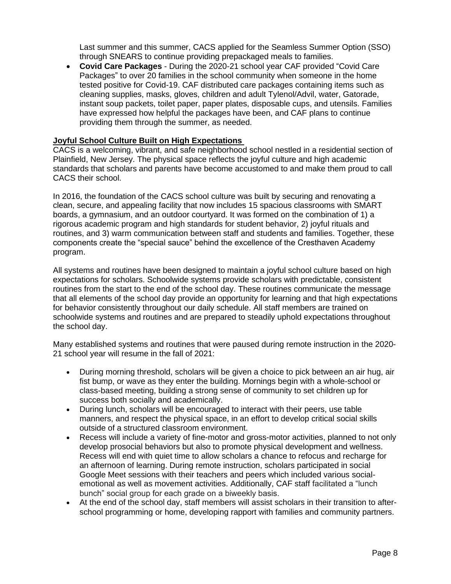Last summer and this summer, CACS applied for the Seamless Summer Option (SSO) through SNEARS to continue providing prepackaged meals to families.

• **Covid Care Packages** - During the 2020-21 school year CAF provided "Covid Care Packages" to over 20 families in the school community when someone in the home tested positive for Covid-19. CAF distributed care packages containing items such as cleaning supplies, masks, gloves, children and adult Tylenol/Advil, water, Gatorade, instant soup packets, toilet paper, paper plates, disposable cups, and utensils. Families have expressed how helpful the packages have been, and CAF plans to continue providing them through the summer, as needed.

#### **Joyful School Culture Built on High Expectations**

CACS is a welcoming, vibrant, and safe neighborhood school nestled in a residential section of Plainfield, New Jersey. The physical space reflects the joyful culture and high academic standards that scholars and parents have become accustomed to and make them proud to call CACS their school.

In 2016, the foundation of the CACS school culture was built by securing and renovating a clean, secure, and appealing facility that now includes 15 spacious classrooms with SMART boards, a gymnasium, and an outdoor courtyard. It was formed on the combination of 1) a rigorous academic program and high standards for student behavior, 2) joyful rituals and routines, and 3) warm communication between staff and students and families. Together, these components create the "special sauce" behind the excellence of the Cresthaven Academy program.

All systems and routines have been designed to maintain a joyful school culture based on high expectations for scholars. Schoolwide systems provide scholars with predictable, consistent routines from the start to the end of the school day. These routines communicate the message that all elements of the school day provide an opportunity for learning and that high expectations for behavior consistently throughout our daily schedule. All staff members are trained on schoolwide systems and routines and are prepared to steadily uphold expectations throughout the school day.

Many established systems and routines that were paused during remote instruction in the 2020- 21 school year will resume in the fall of 2021:

- During morning threshold, scholars will be given a choice to pick between an air hug, air fist bump, or wave as they enter the building. Mornings begin with a whole-school or class-based meeting, building a strong sense of community to set children up for success both socially and academically.
- During lunch, scholars will be encouraged to interact with their peers, use table manners, and respect the physical space, in an effort to develop critical social skills outside of a structured classroom environment.
- Recess will include a variety of fine-motor and gross-motor activities, planned to not only develop prosocial behaviors but also to promote physical development and wellness. Recess will end with quiet time to allow scholars a chance to refocus and recharge for an afternoon of learning. During remote instruction, scholars participated in social Google Meet sessions with their teachers and peers which included various socialemotional as well as movement activities. Additionally, CAF staff facilitated a "lunch bunch" social group for each grade on a biweekly basis.
- At the end of the school day, staff members will assist scholars in their transition to afterschool programming or home, developing rapport with families and community partners.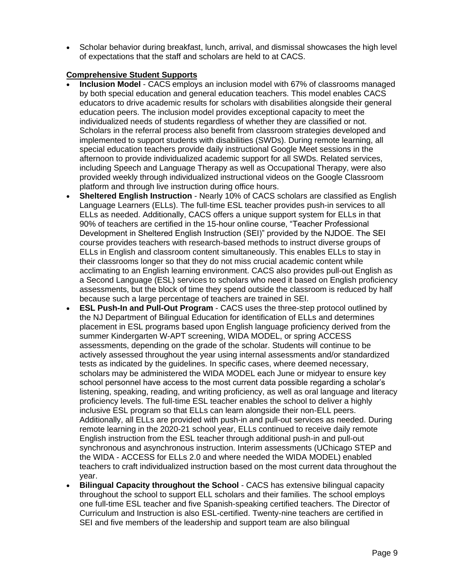• Scholar behavior during breakfast, lunch, arrival, and dismissal showcases the high level of expectations that the staff and scholars are held to at CACS.

# **Comprehensive Student Supports**

- **Inclusion Model**  CACS employs an inclusion model with 67% of classrooms managed by both special education and general education teachers. This model enables CACS educators to drive academic results for scholars with disabilities alongside their general education peers. The inclusion model provides exceptional capacity to meet the individualized needs of students regardless of whether they are classified or not. Scholars in the referral process also benefit from classroom strategies developed and implemented to support students with disabilities (SWDs). During remote learning, all special education teachers provide daily instructional Google Meet sessions in the afternoon to provide individualized academic support for all SWDs. Related services, including Speech and Language Therapy as well as Occupational Therapy, were also provided weekly through individualized instructional videos on the Google Classroom platform and through live instruction during office hours.
- **Sheltered English Instruction**  Nearly 10% of CACS scholars are classified as English Language Learners (ELLs). The full-time ESL teacher provides push-in services to all ELLs as needed. Additionally, CACS offers a unique support system for ELLs in that 90% of teachers are certified in the 15-hour online course, "Teacher Professional Development in Sheltered English Instruction (SEI)" provided by the NJDOE. The SEI course provides teachers with research-based methods to instruct diverse groups of ELLs in English and classroom content simultaneously. This enables ELLs to stay in their classrooms longer so that they do not miss crucial academic content while acclimating to an English learning environment. CACS also provides pull-out English as a Second Language (ESL) services to scholars who need it based on English proficiency assessments, but the block of time they spend outside the classroom is reduced by half because such a large percentage of teachers are trained in SEI.
- **ESL Push-In and Pull-Out Program** CACS uses the three-step protocol outlined by the NJ Department of Bilingual Education for identification of ELLs and determines placement in ESL programs based upon English language proficiency derived from the summer Kindergarten W-APT screening, WIDA MODEL, or spring ACCESS assessments, depending on the grade of the scholar. Students will continue to be actively assessed throughout the year using internal assessments and/or standardized tests as indicated by the guidelines. In specific cases, where deemed necessary, scholars may be administered the WIDA MODEL each June or midyear to ensure key school personnel have access to the most current data possible regarding a scholar's listening, speaking, reading, and writing proficiency, as well as oral language and literacy proficiency levels. The full-time ESL teacher enables the school to deliver a highly inclusive ESL program so that ELLs can learn alongside their non-ELL peers. Additionally, all ELLs are provided with push-in and pull-out services as needed. During remote learning in the 2020-21 school year, ELLs continued to receive daily remote English instruction from the ESL teacher through additional push-in and pull-out synchronous and asynchronous instruction. Interim assessments (UChicago STEP and the WIDA - ACCESS for ELLs 2.0 and where needed the WIDA MODEL) enabled teachers to craft individualized instruction based on the most current data throughout the year.
- **Bilingual Capacity throughout the School**  CACS has extensive bilingual capacity throughout the school to support ELL scholars and their families. The school employs one full-time ESL teacher and five Spanish-speaking certified teachers. The Director of Curriculum and Instruction is also ESL-certified. Twenty-nine teachers are certified in SEI and five members of the leadership and support team are also bilingual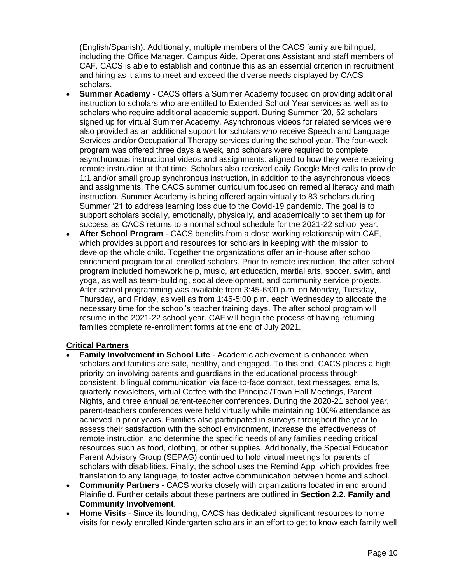(English/Spanish). Additionally, multiple members of the CACS family are bilingual, including the Office Manager, Campus Aide, Operations Assistant and staff members of CAF. CACS is able to establish and continue this as an essential criterion in recruitment and hiring as it aims to meet and exceed the diverse needs displayed by CACS scholars.

- **Summer Academy** CACS offers a Summer Academy focused on providing additional instruction to scholars who are entitled to Extended School Year services as well as to scholars who require additional academic support. During Summer '20, 52 scholars signed up for virtual Summer Academy. Asynchronous videos for related services were also provided as an additional support for scholars who receive Speech and Language Services and/or Occupational Therapy services during the school year. The four-week program was offered three days a week, and scholars were required to complete asynchronous instructional videos and assignments, aligned to how they were receiving remote instruction at that time. Scholars also received daily Google Meet calls to provide 1:1 and/or small group synchronous instruction, in addition to the asynchronous videos and assignments. The CACS summer curriculum focused on remedial literacy and math instruction. Summer Academy is being offered again virtually to 83 scholars during Summer '21 to address learning loss due to the Covid-19 pandemic. The goal is to support scholars socially, emotionally, physically, and academically to set them up for success as CACS returns to a normal school schedule for the 2021-22 school year.
- **After School Program**  CACS benefits from a close working relationship with CAF, which provides support and resources for scholars in keeping with the mission to develop the whole child. Together the organizations offer an in-house after school enrichment program for all enrolled scholars. Prior to remote instruction, the after school program included homework help, music, art education, martial arts, soccer, swim, and yoga, as well as team-building, social development, and community service projects. After school programming was available from 3:45-6:00 p.m. on Monday, Tuesday, Thursday, and Friday, as well as from 1:45-5:00 p.m. each Wednesday to allocate the necessary time for the school's teacher training days. The after school program will resume in the 2021-22 school year. CAF will begin the process of having returning families complete re-enrollment forms at the end of July 2021.

# **Critical Partners**

- **Family Involvement in School Life**  Academic achievement is enhanced when scholars and families are safe, healthy, and engaged. To this end, CACS places a high priority on involving parents and guardians in the educational process through consistent, bilingual communication via face-to-face contact, text messages, emails, quarterly newsletters, virtual Coffee with the Principal/Town Hall Meetings, Parent Nights, and three annual parent-teacher conferences. During the 2020-21 school year, parent-teachers conferences were held virtually while maintaining 100% attendance as achieved in prior years. Families also participated in surveys throughout the year to assess their satisfaction with the school environment, increase the effectiveness of remote instruction, and determine the specific needs of any families needing critical resources such as food, clothing, or other supplies. Additionally, the Special Education Parent Advisory Group (SEPAG) continued to hold virtual meetings for parents of scholars with disabilities. Finally, the school uses the Remind App, which provides free translation to any language, to foster active communication between home and school.
- **Community Partners**  CACS works closely with organizations located in and around Plainfield. Further details about these partners are outlined in **Section 2.2. Family and Community Involvement**.
- **Home Visits**  Since its founding, CACS has dedicated significant resources to home visits for newly enrolled Kindergarten scholars in an effort to get to know each family well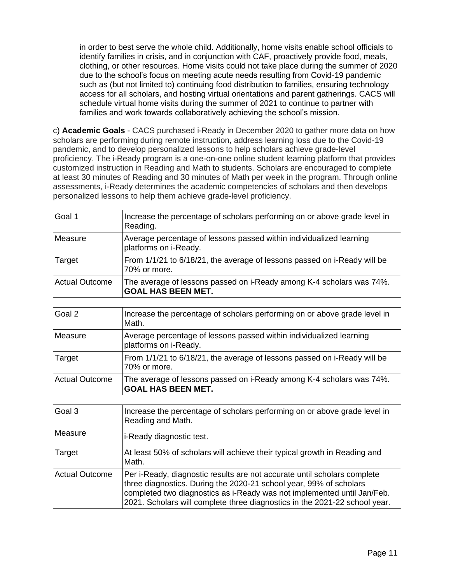in order to best serve the whole child. Additionally, home visits enable school officials to identify families in crisis, and in conjunction with CAF, proactively provide food, meals, clothing, or other resources. Home visits could not take place during the summer of 2020 due to the school's focus on meeting acute needs resulting from Covid-19 pandemic such as (but not limited to) continuing food distribution to families, ensuring technology access for all scholars, and hosting virtual orientations and parent gatherings. CACS will schedule virtual home visits during the summer of 2021 to continue to partner with families and work towards collaboratively achieving the school's mission.

c) **Academic Goals** - CACS purchased i-Ready in December 2020 to gather more data on how scholars are performing during remote instruction, address learning loss due to the Covid-19 pandemic, and to develop personalized lessons to help scholars achieve grade-level proficiency. The i-Ready program is a one-on-one online student learning platform that provides customized instruction in Reading and Math to students. Scholars are encouraged to complete at least 30 minutes of Reading and 30 minutes of Math per week in the program. Through online assessments, i-Ready determines the academic competencies of scholars and then develops personalized lessons to help them achieve grade-level proficiency.

| Goal 1         | Increase the percentage of scholars performing on or above grade level in<br>Reading.             |
|----------------|---------------------------------------------------------------------------------------------------|
| Measure        | Average percentage of lessons passed within individualized learning<br>platforms on i-Ready.      |
| Target         | From 1/1/21 to 6/18/21, the average of lessons passed on i-Ready will be<br>70% or more.          |
| Actual Outcome | The average of lessons passed on i-Ready among K-4 scholars was 74%.<br><b>GOAL HAS BEEN MET.</b> |

| Goal 2         | Increase the percentage of scholars performing on or above grade level in<br>Math.                |
|----------------|---------------------------------------------------------------------------------------------------|
| Measure        | Average percentage of lessons passed within individualized learning<br>platforms on i-Ready.      |
| Target         | From 1/1/21 to 6/18/21, the average of lessons passed on i-Ready will be<br>70% or more.          |
| Actual Outcome | The average of lessons passed on i-Ready among K-4 scholars was 74%.<br><b>GOAL HAS BEEN MET.</b> |

| Goal 3         | Increase the percentage of scholars performing on or above grade level in<br>Reading and Math.                                                                                                                                                                                                          |
|----------------|---------------------------------------------------------------------------------------------------------------------------------------------------------------------------------------------------------------------------------------------------------------------------------------------------------|
| Measure        | i-Ready diagnostic test.                                                                                                                                                                                                                                                                                |
| Target         | At least 50% of scholars will achieve their typical growth in Reading and<br>Math.                                                                                                                                                                                                                      |
| Actual Outcome | Per i-Ready, diagnostic results are not accurate until scholars complete<br>three diagnostics. During the 2020-21 school year, 99% of scholars<br>completed two diagnostics as i-Ready was not implemented until Jan/Feb.<br>2021. Scholars will complete three diagnostics in the 2021-22 school year. |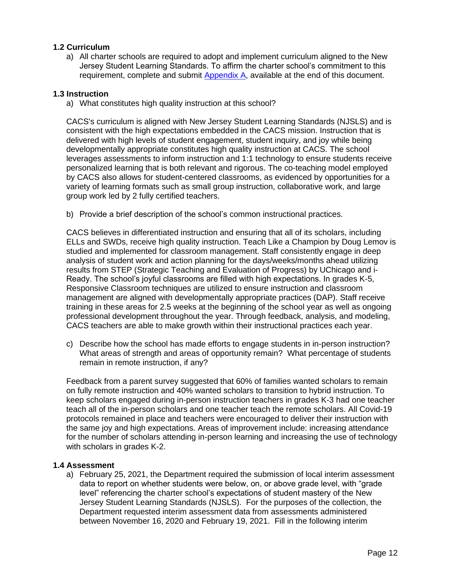# **1.2 Curriculum**

a) All charter schools are required to adopt and implement curriculum aligned to the New Jersey Student Learning Standards. To affirm the charter school's commitment to this requirement, complete and submit [Appendix A,](#page-29-0) available at the end of this document.

#### **1.3 Instruction**

a) What constitutes high quality instruction at this school?

CACS's curriculum is aligned with New Jersey Student Learning Standards (NJSLS) and is consistent with the high expectations embedded in the CACS mission. Instruction that is delivered with high levels of student engagement, student inquiry, and joy while being developmentally appropriate constitutes high quality instruction at CACS. The school leverages assessments to inform instruction and 1:1 technology to ensure students receive personalized learning that is both relevant and rigorous. The co-teaching model employed by CACS also allows for student-centered classrooms, as evidenced by opportunities for a variety of learning formats such as small group instruction, collaborative work, and large group work led by 2 fully certified teachers.

b) Provide a brief description of the school's common instructional practices.

CACS believes in differentiated instruction and ensuring that all of its scholars, including ELLs and SWDs, receive high quality instruction. Teach Like a Champion by Doug Lemov is studied and implemented for classroom management. Staff consistently engage in deep analysis of student work and action planning for the days/weeks/months ahead utilizing results from STEP (Strategic Teaching and Evaluation of Progress) by UChicago and i-Ready. The school's joyful classrooms are filled with high expectations. In grades K-5, Responsive Classroom techniques are utilized to ensure instruction and classroom management are aligned with developmentally appropriate practices (DAP). Staff receive training in these areas for 2.5 weeks at the beginning of the school year as well as ongoing professional development throughout the year. Through feedback, analysis, and modeling, CACS teachers are able to make growth within their instructional practices each year.

c) Describe how the school has made efforts to engage students in in-person instruction? What areas of strength and areas of opportunity remain? What percentage of students remain in remote instruction, if any?

Feedback from a parent survey suggested that 60% of families wanted scholars to remain on fully remote instruction and 40% wanted scholars to transition to hybrid instruction. To keep scholars engaged during in-person instruction teachers in grades K-3 had one teacher teach all of the in-person scholars and one teacher teach the remote scholars. All Covid-19 protocols remained in place and teachers were encouraged to deliver their instruction with the same joy and high expectations. Areas of improvement include: increasing attendance for the number of scholars attending in-person learning and increasing the use of technology with scholars in grades K-2.

#### **1.4 Assessment**

a) February 25, 2021, the Department required the submission of local interim assessment data to report on whether students were below, on, or above grade level, with "grade level" referencing the charter school's expectations of student mastery of the New Jersey Student Learning Standards (NJSLS). For the purposes of the collection, the Department requested interim assessment data from assessments administered between November 16, 2020 and February 19, 2021. Fill in the following interim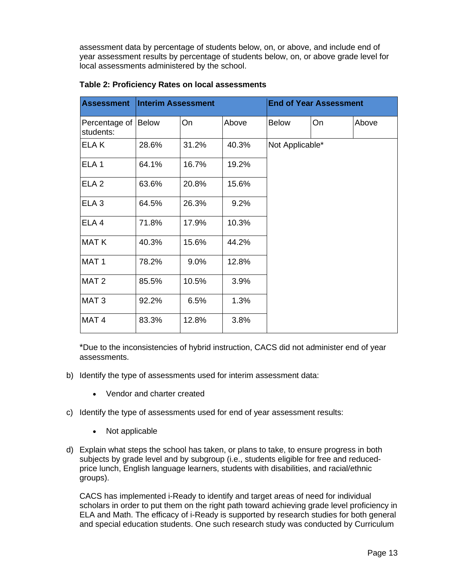assessment data by percentage of students below, on, or above, and include end of year assessment results by percentage of students below, on, or above grade level for local assessments administered by the school.

| <b>Assessment</b>                | <b>Interim Assessment</b> |       | <b>End of Year Assessment</b> |                 |    |       |
|----------------------------------|---------------------------|-------|-------------------------------|-----------------|----|-------|
| Percentage of Below<br>students: |                           | On    | Above                         | <b>Below</b>    | On | Above |
| ELA K                            | 28.6%                     | 31.2% | 40.3%                         | Not Applicable* |    |       |
| ELA <sub>1</sub>                 | 64.1%                     | 16.7% | 19.2%                         |                 |    |       |
| ELA <sub>2</sub>                 | 63.6%                     | 20.8% | 15.6%                         |                 |    |       |
| ELA <sub>3</sub>                 | 64.5%                     | 26.3% | 9.2%                          |                 |    |       |
| ELA 4                            | 71.8%                     | 17.9% | 10.3%                         |                 |    |       |
| <b>MATK</b>                      | 40.3%                     | 15.6% | 44.2%                         |                 |    |       |
| MAT <sub>1</sub>                 | 78.2%                     | 9.0%  | 12.8%                         |                 |    |       |
| MAT <sub>2</sub>                 | 85.5%                     | 10.5% | 3.9%                          |                 |    |       |
| MAT <sub>3</sub>                 | 92.2%                     | 6.5%  | 1.3%                          |                 |    |       |
| MAT <sub>4</sub>                 | 83.3%                     | 12.8% | 3.8%                          |                 |    |       |

#### **Table 2: Proficiency Rates on local assessments**

\*Due to the inconsistencies of hybrid instruction, CACS did not administer end of year assessments.

- b) Identify the type of assessments used for interim assessment data:
	- Vendor and charter created
- c) Identify the type of assessments used for end of year assessment results:
	- Not applicable
- d) Explain what steps the school has taken, or plans to take, to ensure progress in both subjects by grade level and by subgroup (i.e., students eligible for free and reducedprice lunch, English language learners, students with disabilities, and racial/ethnic groups).

CACS has implemented i-Ready to identify and target areas of need for individual scholars in order to put them on the right path toward achieving grade level proficiency in ELA and Math. The efficacy of i-Ready is supported by research studies for both general and special education students. One such research study was conducted by Curriculum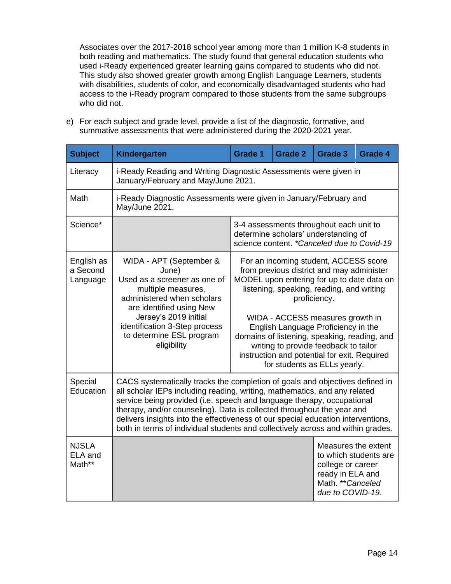Associates over the 2017-2018 school year among more than 1 million K-8 students in both reading and mathematics. The study found that general education students who used i-Ready experienced greater learning gains compared to students who did not. This study also showed greater growth among English Language Learners, students with disabilities, students of color, and economically disadvantaged students who had access to the i-Ready program compared to those students from the same subgroups who did not.

| <b>Subject</b>                     | Kindergarten                                                                                                                                                                                                                                                                                                                                                                                                                                                                         | Grade 1                                                                                                                                                                                                                                                                                                                                                                                                                                           | <b>Grade 2</b> | Grade 3                                                                                               | Grade 4               |
|------------------------------------|--------------------------------------------------------------------------------------------------------------------------------------------------------------------------------------------------------------------------------------------------------------------------------------------------------------------------------------------------------------------------------------------------------------------------------------------------------------------------------------|---------------------------------------------------------------------------------------------------------------------------------------------------------------------------------------------------------------------------------------------------------------------------------------------------------------------------------------------------------------------------------------------------------------------------------------------------|----------------|-------------------------------------------------------------------------------------------------------|-----------------------|
| Literacy                           | i-Ready Reading and Writing Diagnostic Assessments were given in<br>January/February and May/June 2021.                                                                                                                                                                                                                                                                                                                                                                              |                                                                                                                                                                                                                                                                                                                                                                                                                                                   |                |                                                                                                       |                       |
| Math                               | i-Ready Diagnostic Assessments were given in January/February and<br>May/June 2021.                                                                                                                                                                                                                                                                                                                                                                                                  |                                                                                                                                                                                                                                                                                                                                                                                                                                                   |                |                                                                                                       |                       |
| Science*                           | 3-4 assessments throughout each unit to<br>determine scholars' understanding of<br>science content. *Canceled due to Covid-19                                                                                                                                                                                                                                                                                                                                                        |                                                                                                                                                                                                                                                                                                                                                                                                                                                   |                |                                                                                                       |                       |
| English as<br>a Second<br>Language | WIDA - APT (September &<br>June)<br>Used as a screener as one of<br>multiple measures,<br>administered when scholars<br>are identified using New<br>Jersey's 2019 initial<br>identification 3-Step process<br>to determine ESL program<br>eligibility                                                                                                                                                                                                                                | For an incoming student, ACCESS score<br>from previous district and may administer<br>MODEL upon entering for up to date data on<br>listening, speaking, reading, and writing<br>proficiency.<br>WIDA - ACCESS measures growth in<br>English Language Proficiency in the<br>domains of listening, speaking, reading, and<br>writing to provide feedback to tailor<br>instruction and potential for exit. Required<br>for students as ELLs yearly. |                |                                                                                                       |                       |
| Special<br>Education               | CACS systematically tracks the completion of goals and objectives defined in<br>all scholar IEPs including reading, writing, mathematics, and any related<br>service being provided (i.e. speech and language therapy, occupational<br>therapy, and/or counseling). Data is collected throughout the year and<br>delivers insights into the effectiveness of our special education interventions,<br>both in terms of individual students and collectively across and within grades. |                                                                                                                                                                                                                                                                                                                                                                                                                                                   |                |                                                                                                       |                       |
| <b>NJSLA</b><br>ELA and<br>Math**  |                                                                                                                                                                                                                                                                                                                                                                                                                                                                                      |                                                                                                                                                                                                                                                                                                                                                                                                                                                   |                | Measures the extent<br>college or career<br>ready in ELA and<br>Math. ** Canceled<br>due to COVID-19. | to which students are |

e) For each subject and grade level, provide a list of the diagnostic, formative, and summative assessments that were administered during the 2020-2021 year.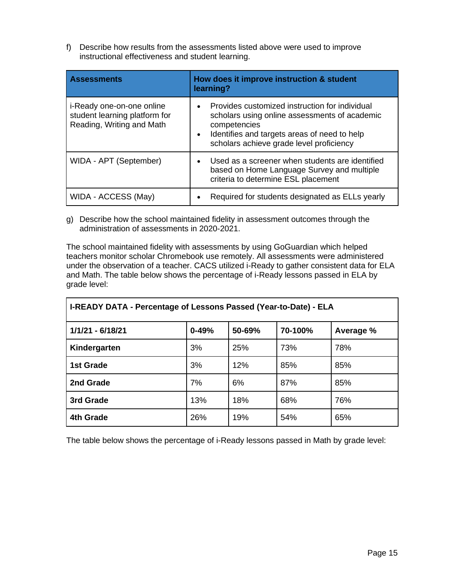f) Describe how results from the assessments listed above were used to improve instructional effectiveness and student learning.

| <b>Assessments</b>                                                                      | How does it improve instruction & student<br>learning?                                                                                                                                                                   |  |  |
|-----------------------------------------------------------------------------------------|--------------------------------------------------------------------------------------------------------------------------------------------------------------------------------------------------------------------------|--|--|
| i-Ready one-on-one online<br>student learning platform for<br>Reading, Writing and Math | Provides customized instruction for individual<br>scholars using online assessments of academic<br>competencies<br>Identifies and targets areas of need to help<br>$\bullet$<br>scholars achieve grade level proficiency |  |  |
| WIDA - APT (September)                                                                  | Used as a screener when students are identified<br>based on Home Language Survey and multiple<br>criteria to determine ESL placement                                                                                     |  |  |
| WIDA - ACCESS (May)                                                                     | Required for students designated as ELLs yearly                                                                                                                                                                          |  |  |

g) Describe how the school maintained fidelity in assessment outcomes through the administration of assessments in 2020-2021.

The school maintained fidelity with assessments by using GoGuardian which helped teachers monitor scholar Chromebook use remotely. All assessments were administered under the observation of a teacher. CACS utilized i-Ready to gather consistent data for ELA and Math. The table below shows the percentage of i-Ready lessons passed in ELA by grade level:

| I-READY DATA - Percentage of Lessons Passed (Year-to-Date) - ELA |           |        |         |           |  |
|------------------------------------------------------------------|-----------|--------|---------|-----------|--|
| 1/1/21 - 6/18/21                                                 | $0 - 49%$ | 50-69% | 70-100% | Average % |  |
| Kindergarten                                                     | 3%        | 25%    | 73%     | 78%       |  |
| 1st Grade                                                        | 3%        | 12%    | 85%     | 85%       |  |
| 2nd Grade                                                        | 7%        | 6%     | 87%     | 85%       |  |
| 3rd Grade                                                        | 13%       | 18%    | 68%     | 76%       |  |
| 4th Grade                                                        | 26%       | 19%    | 54%     | 65%       |  |

The table below shows the percentage of i-Ready lessons passed in Math by grade level: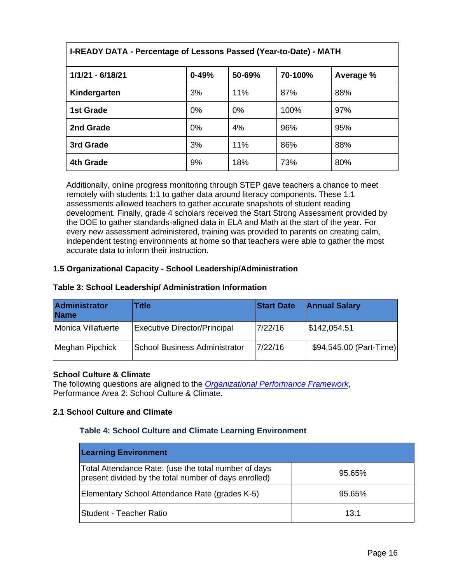| I-READY DATA - Percentage of Lessons Passed (Year-to-Date) - MATH |           |        |         |           |
|-------------------------------------------------------------------|-----------|--------|---------|-----------|
| 1/1/21 - 6/18/21                                                  | $0 - 49%$ | 50-69% | 70-100% | Average % |
| Kindergarten                                                      | 3%        | 11%    | 87%     | 88%       |
| 1st Grade                                                         | $0\%$     | 0%     | 100%    | 97%       |
| 2nd Grade                                                         | $0\%$     | 4%     | 96%     | 95%       |
| 3rd Grade                                                         | 3%        | 11%    | 86%     | 88%       |
| 4th Grade                                                         | 9%        | 18%    | 73%     | 80%       |

Additionally, online progress monitoring through STEP gave teachers a chance to meet remotely with students 1:1 to gather data around literacy components. These 1:1 assessments allowed teachers to gather accurate snapshots of student reading development. Finally, grade 4 scholars received the Start Strong Assessment provided by the DOE to gather standards-aligned data in ELA and Math at the start of the year. For every new assessment administered, training was provided to parents on creating calm, independent testing environments at home so that teachers were able to gather the most accurate data to inform their instruction.

# **1.5 Organizational Capacity - School Leadership/Administration**

#### **Table 3: School Leadership/ Administration Information**

| <b>Administrator</b><br><b>Name</b> | Title                                | <b>Start Date</b> | <b>Annual Salary</b>    |
|-------------------------------------|--------------------------------------|-------------------|-------------------------|
| Monica Villafuerte                  | <b>Executive Director/Principal</b>  | 7/22/16           | \$142,054.51            |
| Meghan Pipchick                     | <b>School Business Administrator</b> | 7/22/16           | \$94,545.00 (Part-Time) |

#### **School Culture & Climate**

The following questions are aligned to the *[Organizational Performance Framework](https://www.nj.gov/education/chartsch/accountability/docs/OrganizationalPerformanceFramework_NJDOE_08132015.pdf)*, Performance Area 2: School Culture & Climate.

#### **2.1 School Culture and Climate**

#### **Table 4: School Culture and Climate Learning Environment**

| <b>Learning Environment</b>                                                                                   |        |
|---------------------------------------------------------------------------------------------------------------|--------|
| Total Attendance Rate: (use the total number of days<br>present divided by the total number of days enrolled) | 95.65% |
| Elementary School Attendance Rate (grades K-5)                                                                | 95.65% |
| lStudent - Teacher Ratio                                                                                      | 13:1   |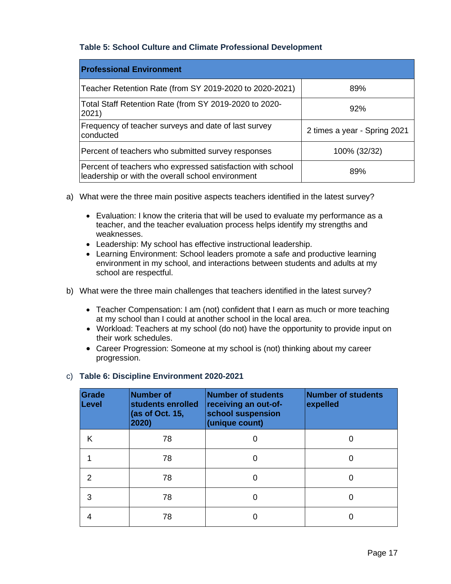# **Table 5: School Culture and Climate Professional Development**

| <b>Professional Environment</b>                                                                                 |                              |
|-----------------------------------------------------------------------------------------------------------------|------------------------------|
| Teacher Retention Rate (from SY 2019-2020 to 2020-2021)                                                         | 89%                          |
| Total Staff Retention Rate (from SY 2019-2020 to 2020-<br>2021)                                                 | 92%                          |
| Frequency of teacher surveys and date of last survey<br>conducted                                               | 2 times a year - Spring 2021 |
| Percent of teachers who submitted survey responses                                                              | 100% (32/32)                 |
| Percent of teachers who expressed satisfaction with school<br>leadership or with the overall school environment | 89%                          |

- a) What were the three main positive aspects teachers identified in the latest survey?
	- Evaluation: I know the criteria that will be used to evaluate my performance as a teacher, and the teacher evaluation process helps identify my strengths and weaknesses.
	- Leadership: My school has effective instructional leadership.
	- Learning Environment: School leaders promote a safe and productive learning environment in my school, and interactions between students and adults at my school are respectful.
- b) What were the three main challenges that teachers identified in the latest survey?
	- Teacher Compensation: I am (not) confident that I earn as much or more teaching at my school than I could at another school in the local area.
	- Workload: Teachers at my school (do not) have the opportunity to provide input on their work schedules.
	- Career Progression: Someone at my school is (not) thinking about my career progression.

# c) **Table 6: Discipline Environment 2020-2021**

| Grade<br>Level | <b>Number of</b><br>students enrolled<br>(as of Oct. 15,<br>2020) | <b>Number of students</b><br>receiving an out-of-<br>school suspension<br>(unique count) | Number of students<br>expelled |
|----------------|-------------------------------------------------------------------|------------------------------------------------------------------------------------------|--------------------------------|
| Κ              | 78                                                                |                                                                                          |                                |
|                | 78                                                                |                                                                                          |                                |
|                | 78                                                                |                                                                                          |                                |
| 3              | 78                                                                |                                                                                          |                                |
|                | 78                                                                |                                                                                          |                                |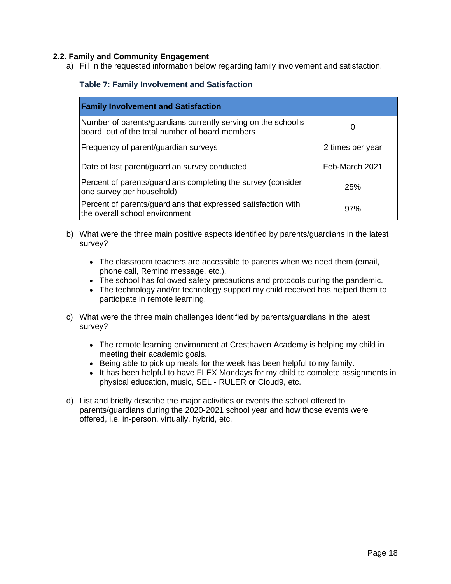# **2.2. Family and Community Engagement**

a) Fill in the requested information below regarding family involvement and satisfaction.

#### **Table 7: Family Involvement and Satisfaction**

| <b>Family Involvement and Satisfaction</b>                                                                       |                  |
|------------------------------------------------------------------------------------------------------------------|------------------|
| Number of parents/guardians currently serving on the school's<br>board, out of the total number of board members |                  |
| Frequency of parent/guardian surveys                                                                             | 2 times per year |
| Date of last parent/guardian survey conducted                                                                    | Feb-March 2021   |
| Percent of parents/guardians completing the survey (consider<br>one survey per household)                        | 25%              |
| Percent of parents/guardians that expressed satisfaction with<br>the overall school environment                  | 97%              |

- b) What were the three main positive aspects identified by parents/guardians in the latest survey?
	- The classroom teachers are accessible to parents when we need them (email, phone call, Remind message, etc.).
	- The school has followed safety precautions and protocols during the pandemic.
	- The technology and/or technology support my child received has helped them to participate in remote learning.
- c) What were the three main challenges identified by parents/guardians in the latest survey?
	- The remote learning environment at Cresthaven Academy is helping my child in meeting their academic goals.
	- Being able to pick up meals for the week has been helpful to my family.
	- It has been helpful to have FLEX Mondays for my child to complete assignments in physical education, music, SEL - RULER or Cloud9, etc.
- d) List and briefly describe the major activities or events the school offered to parents/guardians during the 2020-2021 school year and how those events were offered, i.e. in-person, virtually, hybrid, etc.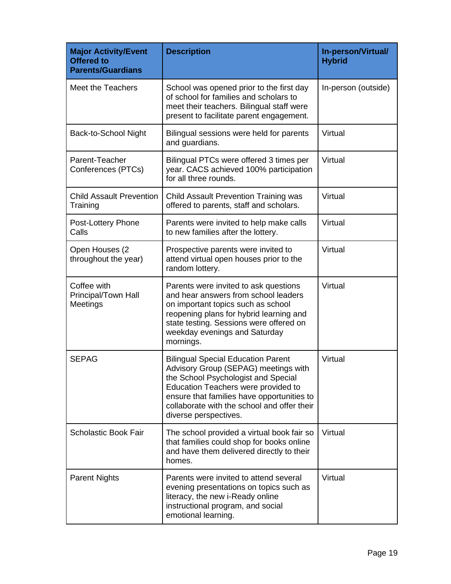| <b>Major Activity/Event</b><br><b>Offered to</b><br><b>Parents/Guardians</b> | <b>Description</b>                                                                                                                                                                                                                                                                    | In-person/Virtual/<br><b>Hybrid</b> |
|------------------------------------------------------------------------------|---------------------------------------------------------------------------------------------------------------------------------------------------------------------------------------------------------------------------------------------------------------------------------------|-------------------------------------|
| Meet the Teachers                                                            | School was opened prior to the first day<br>of school for families and scholars to<br>meet their teachers. Bilingual staff were<br>present to facilitate parent engagement.                                                                                                           | In-person (outside)                 |
| Back-to-School Night                                                         | Bilingual sessions were held for parents<br>and guardians.                                                                                                                                                                                                                            | Virtual                             |
| Parent-Teacher<br>Conferences (PTCs)                                         | Bilingual PTCs were offered 3 times per<br>year. CACS achieved 100% participation<br>for all three rounds.                                                                                                                                                                            | Virtual                             |
| <b>Child Assault Prevention</b><br>Training                                  | Child Assault Prevention Training was<br>offered to parents, staff and scholars.                                                                                                                                                                                                      | Virtual                             |
| Post-Lottery Phone<br>Calls                                                  | Parents were invited to help make calls<br>to new families after the lottery.                                                                                                                                                                                                         | Virtual                             |
| Open Houses (2<br>throughout the year)                                       | Prospective parents were invited to<br>attend virtual open houses prior to the<br>random lottery.                                                                                                                                                                                     | Virtual                             |
| Coffee with<br>Principal/Town Hall<br>Meetings                               | Parents were invited to ask questions<br>and hear answers from school leaders<br>on important topics such as school<br>reopening plans for hybrid learning and<br>state testing. Sessions were offered on<br>weekday evenings and Saturday<br>mornings.                               | Virtual                             |
| <b>SEPAG</b>                                                                 | <b>Bilingual Special Education Parent</b><br>Advisory Group (SEPAG) meetings with<br>the School Psychologist and Special<br>Education Teachers were provided to<br>ensure that families have opportunities to<br>collaborate with the school and offer their<br>diverse perspectives. | Virtual                             |
| <b>Scholastic Book Fair</b>                                                  | The school provided a virtual book fair so<br>that families could shop for books online<br>and have them delivered directly to their<br>homes.                                                                                                                                        | Virtual                             |
| <b>Parent Nights</b>                                                         | Parents were invited to attend several<br>evening presentations on topics such as<br>literacy, the new i-Ready online<br>instructional program, and social<br>emotional learning.                                                                                                     | Virtual                             |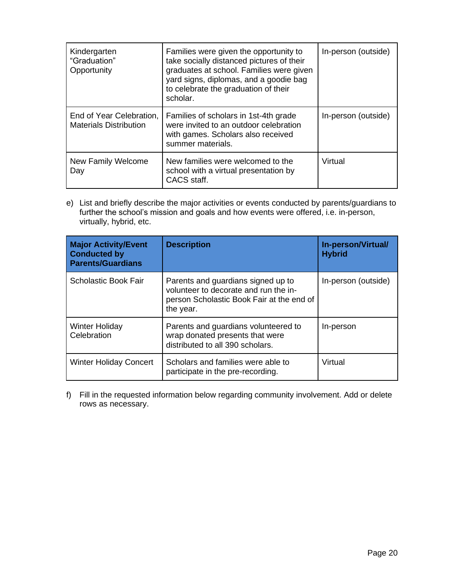| Kindergarten<br>"Graduation"<br>Opportunity               | Families were given the opportunity to<br>take socially distanced pictures of their<br>graduates at school. Families were given<br>yard signs, diplomas, and a goodie bag<br>to celebrate the graduation of their<br>scholar. | In-person (outside) |
|-----------------------------------------------------------|-------------------------------------------------------------------------------------------------------------------------------------------------------------------------------------------------------------------------------|---------------------|
| End of Year Celebration,<br><b>Materials Distribution</b> | Families of scholars in 1st-4th grade<br>were invited to an outdoor celebration<br>with games. Scholars also received<br>summer materials.                                                                                    | In-person (outside) |
| New Family Welcome<br>Day                                 | New families were welcomed to the<br>school with a virtual presentation by<br>CACS staff.                                                                                                                                     | Virtual             |

e) List and briefly describe the major activities or events conducted by parents/guardians to further the school's mission and goals and how events were offered, i.e. in-person, virtually, hybrid, etc.

| <b>Major Activity/Event</b><br><b>Conducted by</b><br><b>Parents/Guardians</b> | <b>Description</b>                                                                                                                    | In-person/Virtual/<br><b>Hybrid</b> |
|--------------------------------------------------------------------------------|---------------------------------------------------------------------------------------------------------------------------------------|-------------------------------------|
| Scholastic Book Fair                                                           | Parents and guardians signed up to<br>volunteer to decorate and run the in-<br>person Scholastic Book Fair at the end of<br>the year. | In-person (outside)                 |
| <b>Winter Holiday</b><br>Celebration                                           | Parents and guardians volunteered to<br>wrap donated presents that were<br>distributed to all 390 scholars.                           | In-person                           |
| <b>Winter Holiday Concert</b>                                                  | Scholars and families were able to<br>participate in the pre-recording.                                                               | Virtual                             |

f) Fill in the requested information below regarding community involvement. Add or delete rows as necessary.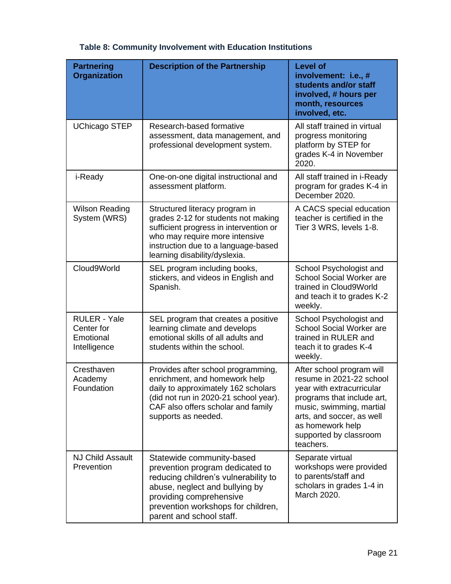| <b>Partnering</b><br><b>Organization</b>                       | <b>Description of the Partnership</b>                                                                                                                                                                                               | <b>Level of</b><br>involvement: i.e., #<br>students and/or staff<br>involved, # hours per<br>month, resources<br>involved, etc.                                                                                                      |
|----------------------------------------------------------------|-------------------------------------------------------------------------------------------------------------------------------------------------------------------------------------------------------------------------------------|--------------------------------------------------------------------------------------------------------------------------------------------------------------------------------------------------------------------------------------|
| <b>UChicago STEP</b>                                           | Research-based formative<br>assessment, data management, and<br>professional development system.                                                                                                                                    | All staff trained in virtual<br>progress monitoring<br>platform by STEP for<br>grades K-4 in November<br>2020.                                                                                                                       |
| i-Ready                                                        | One-on-one digital instructional and<br>assessment platform.                                                                                                                                                                        | All staff trained in i-Ready<br>program for grades K-4 in<br>December 2020.                                                                                                                                                          |
| <b>Wilson Reading</b><br>System (WRS)                          | Structured literacy program in<br>grades 2-12 for students not making<br>sufficient progress in intervention or<br>who may require more intensive<br>instruction due to a language-based<br>learning disability/dyslexia.           | A CACS special education<br>teacher is certified in the<br>Tier 3 WRS, levels 1-8.                                                                                                                                                   |
| Cloud9World                                                    | SEL program including books,<br>stickers, and videos in English and<br>Spanish.                                                                                                                                                     | School Psychologist and<br><b>School Social Worker are</b><br>trained in Cloud9World<br>and teach it to grades K-2<br>weekly.                                                                                                        |
| <b>RULER - Yale</b><br>Center for<br>Emotional<br>Intelligence | SEL program that creates a positive<br>learning climate and develops<br>emotional skills of all adults and<br>students within the school.                                                                                           | School Psychologist and<br><b>School Social Worker are</b><br>trained in RULER and<br>teach it to grades K-4<br>weekly.                                                                                                              |
| Cresthaven<br>Academy<br>Foundation                            | Provides after school programming,<br>enrichment, and homework help<br>daily to approximately 162 scholars<br>(did not run in 2020-21 school year).<br>CAF also offers scholar and family<br>supports as needed.                    | After school program will<br>resume in 2021-22 school<br>year with extracurricular<br>programs that include art,<br>music, swimming, martial<br>arts, and soccer, as well<br>as homework help<br>supported by classroom<br>teachers. |
| <b>NJ Child Assault</b><br>Prevention                          | Statewide community-based<br>prevention program dedicated to<br>reducing children's vulnerability to<br>abuse, neglect and bullying by<br>providing comprehensive<br>prevention workshops for children,<br>parent and school staff. | Separate virtual<br>workshops were provided<br>to parents/staff and<br>scholars in grades 1-4 in<br>March 2020.                                                                                                                      |

# **Table 8: Community Involvement with Education Institutions**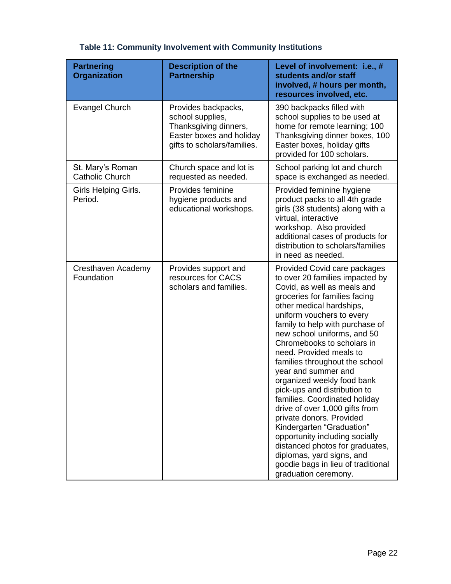| <b>Partnering</b><br><b>Organization</b>   | <b>Description of the</b><br><b>Partnership</b>                                                                             | Level of involvement: i.e., #<br>students and/or staff<br>involved, # hours per month,<br>resources involved, etc.                                                                                                                                                                                                                                                                                                                                                                                                                                                                                                                                                                                                                     |
|--------------------------------------------|-----------------------------------------------------------------------------------------------------------------------------|----------------------------------------------------------------------------------------------------------------------------------------------------------------------------------------------------------------------------------------------------------------------------------------------------------------------------------------------------------------------------------------------------------------------------------------------------------------------------------------------------------------------------------------------------------------------------------------------------------------------------------------------------------------------------------------------------------------------------------------|
| <b>Evangel Church</b>                      | Provides backpacks,<br>school supplies,<br>Thanksgiving dinners,<br>Easter boxes and holiday<br>gifts to scholars/families. | 390 backpacks filled with<br>school supplies to be used at<br>home for remote learning; 100<br>Thanksgiving dinner boxes, 100<br>Easter boxes, holiday gifts<br>provided for 100 scholars.                                                                                                                                                                                                                                                                                                                                                                                                                                                                                                                                             |
| St. Mary's Roman<br><b>Catholic Church</b> | Church space and lot is<br>requested as needed.                                                                             | School parking lot and church<br>space is exchanged as needed.                                                                                                                                                                                                                                                                                                                                                                                                                                                                                                                                                                                                                                                                         |
| Girls Helping Girls.<br>Period.            | Provides feminine<br>hygiene products and<br>educational workshops.                                                         | Provided feminine hygiene<br>product packs to all 4th grade<br>girls (38 students) along with a<br>virtual, interactive<br>workshop. Also provided<br>additional cases of products for<br>distribution to scholars/families<br>in need as needed.                                                                                                                                                                                                                                                                                                                                                                                                                                                                                      |
| Cresthaven Academy<br>Foundation           | Provides support and<br>resources for CACS<br>scholars and families.                                                        | Provided Covid care packages<br>to over 20 families impacted by<br>Covid, as well as meals and<br>groceries for families facing<br>other medical hardships,<br>uniform vouchers to every<br>family to help with purchase of<br>new school uniforms, and 50<br>Chromebooks to scholars in<br>need. Provided meals to<br>families throughout the school<br>year and summer and<br>organized weekly food bank<br>pick-ups and distribution to<br>families. Coordinated holiday<br>drive of over 1,000 gifts from<br>private donors. Provided<br>Kindergarten "Graduation"<br>opportunity including socially<br>distanced photos for graduates,<br>diplomas, yard signs, and<br>goodie bags in lieu of traditional<br>graduation ceremony. |

# **Table 11: Community Involvement with Community Institutions**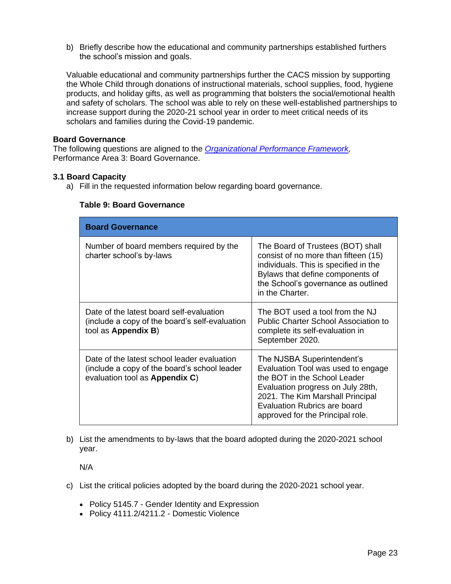b) Briefly describe how the educational and community partnerships established furthers the school's mission and goals.

Valuable educational and community partnerships further the CACS mission by supporting the Whole Child through donations of instructional materials, school supplies, food, hygiene products, and holiday gifts, as well as programming that bolsters the social/emotional health and safety of scholars. The school was able to rely on these well-established partnerships to increase support during the 2020-21 school year in order to meet critical needs of its scholars and families during the Covid-19 pandemic.

#### **Board Governance**

The following questions are aligned to the *[Organizational Performance Framework,](https://www.nj.gov/education/chartsch/accountability/docs/OrganizationalPerformanceFramework_NJDOE_08132015.pdf)* Performance Area 3: Board Governance.

#### **3.1 Board Capacity**

a) Fill in the requested information below regarding board governance.

#### **Table 9: Board Governance**

| <b>Board Governance</b>                                                                                                       |                                                                                                                                                                                                                                               |
|-------------------------------------------------------------------------------------------------------------------------------|-----------------------------------------------------------------------------------------------------------------------------------------------------------------------------------------------------------------------------------------------|
| Number of board members required by the<br>charter school's by-laws                                                           | The Board of Trustees (BOT) shall<br>consist of no more than fifteen (15)<br>individuals. This is specified in the<br>Bylaws that define components of<br>the School's governance as outlined<br>in the Charter.                              |
| Date of the latest board self-evaluation<br>(include a copy of the board's self-evaluation<br>tool as Appendix B)             | The BOT used a tool from the NJ<br>Public Charter School Association to<br>complete its self-evaluation in<br>September 2020.                                                                                                                 |
| Date of the latest school leader evaluation<br>(include a copy of the board's school leader<br>evaluation tool as Appendix C) | The NJSBA Superintendent's<br>Evaluation Tool was used to engage<br>the BOT in the School Leader<br>Evaluation progress on July 28th,<br>2021. The Kim Marshall Principal<br>Evaluation Rubrics are board<br>approved for the Principal role. |

b) List the amendments to by-laws that the board adopted during the 2020-2021 school year.

N/A

- c) List the critical policies adopted by the board during the 2020-2021 school year.
	- Policy 5145.7 Gender Identity and Expression
	- Policy 4111.2/4211.2 Domestic Violence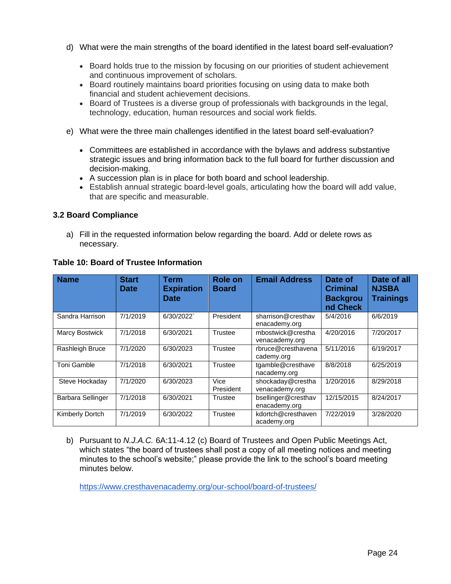- d) What were the main strengths of the board identified in the latest board self-evaluation?
	- Board holds true to the mission by focusing on our priorities of student achievement and continuous improvement of scholars.
	- Board routinely maintains board priorities focusing on using data to make both financial and student achievement decisions.
	- Board of Trustees is a diverse group of professionals with backgrounds in the legal, technology, education, human resources and social work fields.
- e) What were the three main challenges identified in the latest board self-evaluation?
	- Committees are established in accordance with the bylaws and address substantive strategic issues and bring information back to the full board for further discussion and decision-making.
	- A succession plan is in place for both board and school leadership.
	- Establish annual strategic board-level goals, articulating how the board will add value, that are specific and measurable.

#### **3.2 Board Compliance**

a) Fill in the requested information below regarding the board. Add or delete rows as necessary.

| <b>Name</b>           | <b>Start</b><br><b>Date</b> | <b>Term</b><br><b>Expiration</b><br><b>Date</b> | <b>Role on</b><br><b>Board</b> | <b>Email Address</b>                 | Date of<br><b>Criminal</b><br><b>Backgrou</b><br>nd Check | Date of all<br><b>NJSBA</b><br><b>Trainings</b> |
|-----------------------|-----------------------------|-------------------------------------------------|--------------------------------|--------------------------------------|-----------------------------------------------------------|-------------------------------------------------|
| Sandra Harrison       | 7/1/2019                    | 6/30/2022                                       | President                      | sharrison@cresthav<br>enacademy.org  | 5/4/2016                                                  | 6/6/2019                                        |
| <b>Marcy Bostwick</b> | 7/1/2018                    | 6/30/2021                                       | Trustee                        | mbostwick@crestha<br>venacademy.org  | 4/20/2016                                                 | 7/20/2017                                       |
| Rashleigh Bruce       | 7/1/2020                    | 6/30/2023                                       | Trustee                        | rbruce@cresthavena<br>cademy.org     | 5/11/2016                                                 | 6/19/2017                                       |
| <b>Toni Gamble</b>    | 7/1/2018                    | 6/30/2021                                       | Trustee                        | tgamble@cresthave<br>nacademy.org    | 8/8/2018                                                  | 6/25/2019                                       |
| Steve Hockaday        | 7/1/2020                    | 6/30/2023                                       | Vice<br>President              | shockaday@crestha<br>venacademy.org  | 1/20/2016                                                 | 8/29/2018                                       |
| Barbara Sellinger     | 7/1/2018                    | 6/30/2021                                       | Trustee                        | bsellinger@cresthav<br>enacademy.org | 12/15/2015                                                | 8/24/2017                                       |
| Kimberly Dortch       | 7/1/2019                    | 6/30/2022                                       | Trustee                        | kdortch@cresthaven<br>academy.org    | 7/22/2019                                                 | 3/28/2020                                       |

#### **Table 10: Board of Trustee Information**

b) Pursuant to *N.J.A.C.* 6A:11-4.12 (c) Board of Trustees and Open Public Meetings Act, which states "the board of trustees shall post a copy of all meeting notices and meeting minutes to the school's website;" please provide the link to the school's board meeting minutes below.

<https://www.cresthavenacademy.org/our-school/board-of-trustees/>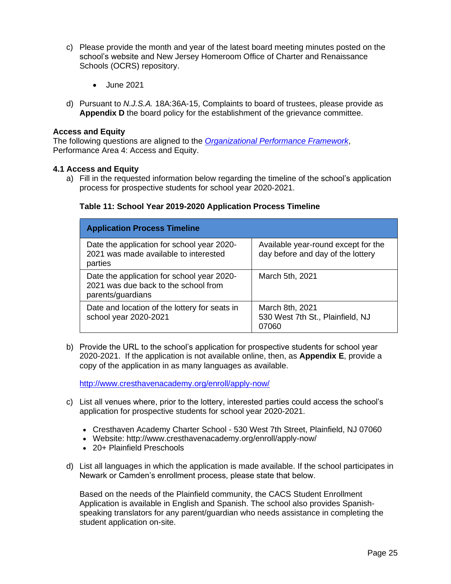- c) Please provide the month and year of the latest board meeting minutes posted on the school's website and New Jersey Homeroom Office of Charter and Renaissance Schools (OCRS) repository.
	- June 2021
- d) Pursuant to *N.J.S.A.* 18A:36A-15, Complaints to board of trustees, please provide as **Appendix D** the board policy for the establishment of the grievance committee.

#### **Access and Equity**

The following questions are aligned to the *[Organizational Performance Framework](https://www.nj.gov/education/chartsch/accountability/docs/OrganizationalPerformanceFramework_NJDOE_08132015.pdf)*, Performance Area 4: Access and Equity.

#### **4.1 Access and Equity**

a) Fill in the requested information below regarding the timeline of the school's application process for prospective students for school year 2020-2021.

#### **Table 11: School Year 2019-2020 Application Process Timeline**

| <b>Application Process Timeline</b>                                                                     |                                                                          |
|---------------------------------------------------------------------------------------------------------|--------------------------------------------------------------------------|
| Date the application for school year 2020-<br>2021 was made available to interested<br>parties          | Available year-round except for the<br>day before and day of the lottery |
| Date the application for school year 2020-<br>2021 was due back to the school from<br>parents/guardians | March 5th, 2021                                                          |
| Date and location of the lottery for seats in<br>school year 2020-2021                                  | March 8th, 2021<br>530 West 7th St., Plainfield, NJ<br>07060             |

b) Provide the URL to the school's application for prospective students for school year 2020-2021. If the application is not available online, then, as **Appendix E**, provide a copy of the application in as many languages as available.

<http://www.cresthavenacademy.org/enroll/apply-now/>

- c) List all venues where, prior to the lottery, interested parties could access the school's application for prospective students for school year 2020-2021.
	- Cresthaven Academy Charter School 530 West 7th Street, Plainfield, NJ 07060
	- Website: http://www.cresthavenacademy.org/enroll/apply-now/
	- 20+ Plainfield Preschools
- d) List all languages in which the application is made available. If the school participates in Newark or Camden's enrollment process, please state that below.

Based on the needs of the Plainfield community, the CACS Student Enrollment Application is available in English and Spanish. The school also provides Spanishspeaking translators for any parent/guardian who needs assistance in completing the student application on-site.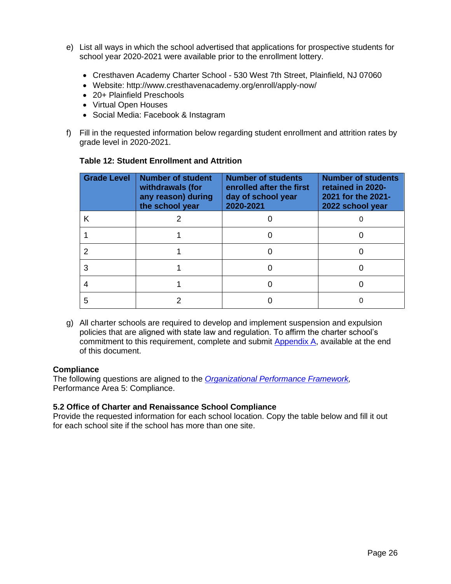- e) List all ways in which the school advertised that applications for prospective students for school year 2020-2021 were available prior to the enrollment lottery.
	- Cresthaven Academy Charter School 530 West 7th Street, Plainfield, NJ 07060
	- Website: http://www.cresthavenacademy.org/enroll/apply-now/
	- 20+ Plainfield Preschools
	- Virtual Open Houses
	- Social Media: Facebook & Instagram
- f) Fill in the requested information below regarding student enrollment and attrition rates by grade level in 2020-2021.

| <b>Grade Level</b> | <b>Number of student</b><br>withdrawals (for<br>any reason) during<br>the school year | <b>Number of students</b><br>enrolled after the first<br>day of school year<br>2020-2021 | <b>Number of students</b><br>retained in 2020-<br>2021 for the 2021-<br>2022 school year |
|--------------------|---------------------------------------------------------------------------------------|------------------------------------------------------------------------------------------|------------------------------------------------------------------------------------------|
|                    |                                                                                       |                                                                                          |                                                                                          |
|                    |                                                                                       |                                                                                          |                                                                                          |
|                    |                                                                                       |                                                                                          |                                                                                          |
|                    |                                                                                       |                                                                                          |                                                                                          |
|                    |                                                                                       |                                                                                          |                                                                                          |
|                    |                                                                                       |                                                                                          |                                                                                          |

# **Table 12: Student Enrollment and Attrition**

g) All charter schools are required to develop and implement suspension and expulsion policies that are aligned with state law and regulation. To affirm the charter school's commitment to this requirement, complete and submit [Appendix A,](#page-29-0) available at the end of this document.

# **Compliance**

The following questions are aligned to the *[Organizational Performance Framework,](https://www.nj.gov/education/chartsch/accountability/docs/OrganizationalPerformanceFramework_NJDOE_08132015.pdf)*  Performance Area 5: Compliance.

# **5.2 Office of Charter and Renaissance School Compliance**

Provide the requested information for each school location. Copy the table below and fill it out for each school site if the school has more than one site.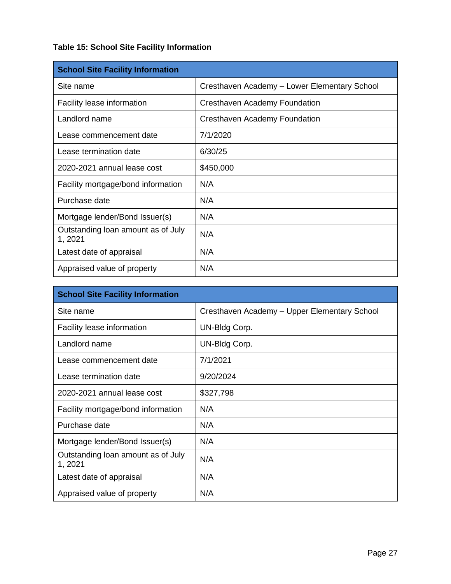# **Table 15: School Site Facility Information**

| <b>School Site Facility Information</b>       |                                              |  |
|-----------------------------------------------|----------------------------------------------|--|
| Site name                                     | Cresthaven Academy - Lower Elementary School |  |
| Facility lease information                    | Cresthaven Academy Foundation                |  |
| Landlord name                                 | <b>Cresthaven Academy Foundation</b>         |  |
| Lease commencement date                       | 7/1/2020                                     |  |
| Lease termination date                        | 6/30/25                                      |  |
| 2020-2021 annual lease cost                   | \$450,000                                    |  |
| Facility mortgage/bond information            | N/A                                          |  |
| Purchase date                                 | N/A                                          |  |
| Mortgage lender/Bond Issuer(s)                | N/A                                          |  |
| Outstanding loan amount as of July<br>1, 2021 | N/A                                          |  |
| Latest date of appraisal                      | N/A                                          |  |
| Appraised value of property                   | N/A                                          |  |

| <b>School Site Facility Information</b>       |                                              |
|-----------------------------------------------|----------------------------------------------|
| Site name                                     | Cresthaven Academy - Upper Elementary School |
| Facility lease information                    | UN-Bldg Corp.                                |
| Landlord name                                 | UN-Bldg Corp.                                |
| Lease commencement date                       | 7/1/2021                                     |
| Lease termination date                        | 9/20/2024                                    |
| 2020-2021 annual lease cost                   | \$327,798                                    |
| Facility mortgage/bond information            | N/A                                          |
| Purchase date                                 | N/A                                          |
| Mortgage lender/Bond Issuer(s)                | N/A                                          |
| Outstanding loan amount as of July<br>1, 2021 | N/A                                          |
| Latest date of appraisal                      | N/A                                          |
| Appraised value of property                   | N/A                                          |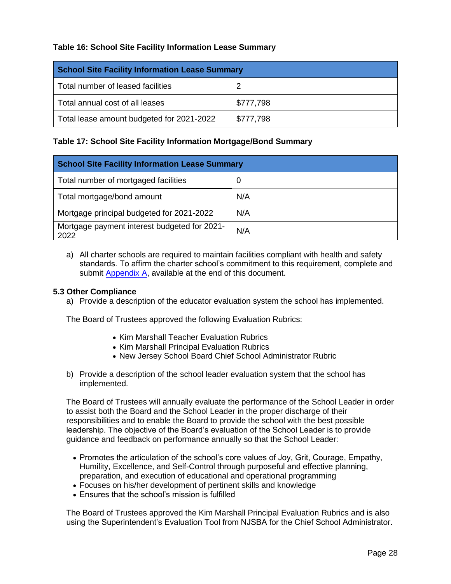# **Table 16: School Site Facility Information Lease Summary**

| <b>School Site Facility Information Lease Summary</b> |           |  |
|-------------------------------------------------------|-----------|--|
| Total number of leased facilities                     | 2         |  |
| Total annual cost of all leases                       | \$777,798 |  |
| Total lease amount budgeted for 2021-2022             | \$777,798 |  |

# **Table 17: School Site Facility Information Mortgage/Bond Summary**

| <b>School Site Facility Information Lease Summary</b> |     |  |
|-------------------------------------------------------|-----|--|
| Total number of mortgaged facilities                  | O   |  |
| Total mortgage/bond amount                            | N/A |  |
| Mortgage principal budgeted for 2021-2022             | N/A |  |
| Mortgage payment interest budgeted for 2021-<br>2022  | N/A |  |

a) All charter schools are required to maintain facilities compliant with health and safety standards. To affirm the charter school's commitment to this requirement, complete and submit [Appendix A,](#page-29-0) available at the end of this document.

#### **5.3 Other Compliance**

a) Provide a description of the educator evaluation system the school has implemented.

The Board of Trustees approved the following Evaluation Rubrics:

- Kim Marshall Teacher Evaluation Rubrics
- Kim Marshall Principal Evaluation Rubrics
- New Jersey School Board Chief School Administrator Rubric
- b) Provide a description of the school leader evaluation system that the school has implemented.

The Board of Trustees will annually evaluate the performance of the School Leader in order to assist both the Board and the School Leader in the proper discharge of their responsibilities and to enable the Board to provide the school with the best possible leadership. The objective of the Board's evaluation of the School Leader is to provide guidance and feedback on performance annually so that the School Leader:

- Promotes the articulation of the school's core values of Joy, Grit, Courage, Empathy, Humility, Excellence, and Self-Control through purposeful and effective planning, preparation, and execution of educational and operational programming
- Focuses on his/her development of pertinent skills and knowledge
- Ensures that the school's mission is fulfilled

The Board of Trustees approved the Kim Marshall Principal Evaluation Rubrics and is also using the Superintendent's Evaluation Tool from NJSBA for the Chief School Administrator.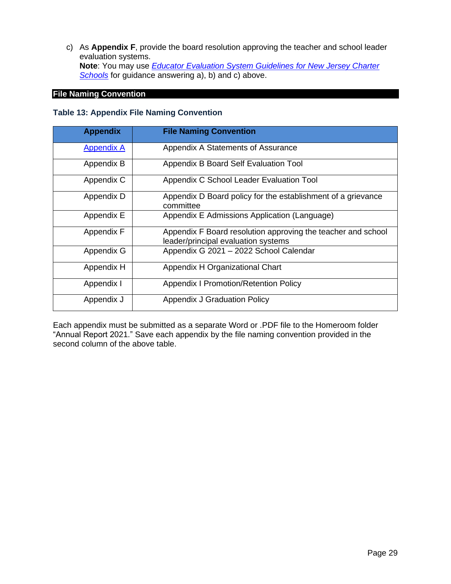c) As **Appendix F**, provide the board resolution approving the teacher and school leader evaluation systems. **Note**: You may use *[Educator Evaluation System Guidelines for New Jersey Charter](https://www.nj.gov/education/chartsch/about/info/docs/evaluation.pdf)  [Schools](https://www.nj.gov/education/chartsch/about/info/docs/evaluation.pdf)* for guidance answering a), b) and c) above.

# <span id="page-28-0"></span>**File Naming Convention**

#### **Table 13: Appendix File Naming Convention**

| <b>Appendix</b>   | <b>File Naming Convention</b>                                                                       |
|-------------------|-----------------------------------------------------------------------------------------------------|
| <b>Appendix A</b> | Appendix A Statements of Assurance                                                                  |
| Appendix B        | Appendix B Board Self Evaluation Tool                                                               |
| Appendix C        | Appendix C School Leader Evaluation Tool                                                            |
| Appendix D        | Appendix D Board policy for the establishment of a grievance<br>committee                           |
| Appendix E        | Appendix E Admissions Application (Language)                                                        |
| Appendix F        | Appendix F Board resolution approving the teacher and school<br>leader/principal evaluation systems |
| Appendix G        | Appendix G 2021 - 2022 School Calendar                                                              |
| Appendix H        | Appendix H Organizational Chart                                                                     |
| Appendix I        | <b>Appendix I Promotion/Retention Policy</b>                                                        |
| Appendix J        | Appendix J Graduation Policy                                                                        |

Each appendix must be submitted as a separate Word or .PDF file to the Homeroom folder "Annual Report 2021." Save each appendix by the file naming convention provided in the second column of the above table.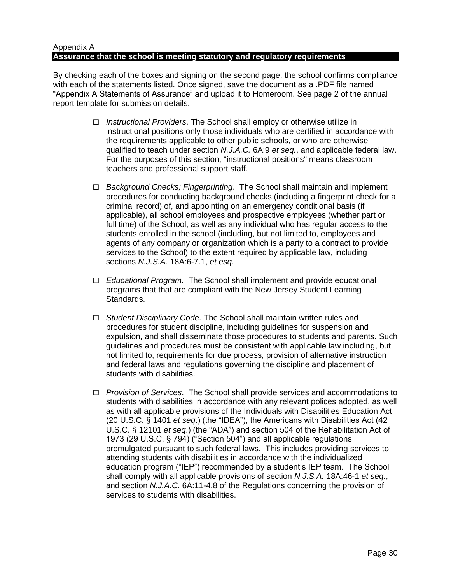#### <span id="page-29-0"></span>Appendix A **Assurance that the school is meeting statutory and regulatory requirements**

By checking each of the boxes and signing on the second page, the school confirms compliance with each of the statements listed. Once signed, save the document as a .PDF file named "Appendix A Statements of Assurance" and upload it to Homeroom. See page 2 of the annual report template for submission details.

- *Instructional Providers*. The School shall employ or otherwise utilize in instructional positions only those individuals who are certified in accordance with the requirements applicable to other public schools, or who are otherwise qualified to teach under section *N.J.A.C.* 6A:9 *et seq.*, and applicable federal law. For the purposes of this section, "instructional positions" means classroom teachers and professional support staff.
- *Background Checks; Fingerprinting*. The School shall maintain and implement procedures for conducting background checks (including a fingerprint check for a criminal record) of, and appointing on an emergency conditional basis (if applicable), all school employees and prospective employees (whether part or full time) of the School, as well as any individual who has regular access to the students enrolled in the school (including, but not limited to, employees and agents of any company or organization which is a party to a contract to provide services to the School) to the extent required by applicable law, including sections *N.J.S.A.* 18A:6-7.1, *et esq*.
- *Educational Program.* The School shall implement and provide educational programs that that are compliant with the New Jersey Student Learning Standards.
- *Student Disciplinary Code.* The School shall maintain written rules and procedures for student discipline, including guidelines for suspension and expulsion, and shall disseminate those procedures to students and parents. Such guidelines and procedures must be consistent with applicable law including, but not limited to, requirements for due process, provision of alternative instruction and federal laws and regulations governing the discipline and placement of students with disabilities.
- *Provision of Services*. The School shall provide services and accommodations to students with disabilities in accordance with any relevant polices adopted, as well as with all applicable provisions of the Individuals with Disabilities Education Act (20 U.S.C. § 1401 *et seq*.) (the "IDEA"), the Americans with Disabilities Act (42 U.S.C. § 12101 *et seq*.) (the "ADA") and section 504 of the Rehabilitation Act of 1973 (29 U.S.C. § 794) ("Section 504") and all applicable regulations promulgated pursuant to such federal laws. This includes providing services to attending students with disabilities in accordance with the individualized education program ("IEP") recommended by a student's IEP team. The School shall comply with all applicable provisions of section *N.J.S.A.* 18A:46-1 *et seq.*, and section *N.J.A.C.* 6A:11-4.8 of the Regulations concerning the provision of services to students with disabilities.